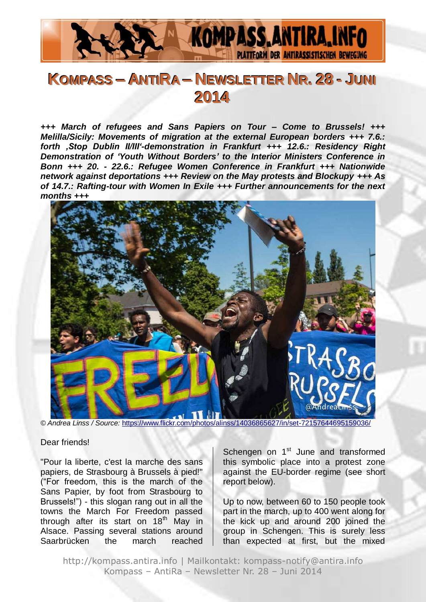

# **KOMPASS – ANTIIRA – NEWSLETTER NR.. 28 - JUNII 2014**

*+++ March of refugees and Sans Papiers on Tour – Come to Brussels! +++ Melilla/Sicily: Movements of migration at the external European borders +++ 7.6.: forth 'Stop Dublin II/III'-demonstration in Frankfurt +++ 12.6.: Residency Right Demonstration of 'Youth Without Borders' to the Interior Ministers Conference in Bonn +++ 20. - 22.6.: Refugee Women Conference in Frankfurt +++ Nationwide network against deportations +++ Review on the May protests and Blockupy +++ As of 14.7.: Rafting-tour with Women In Exile +++ Further announcements for the next months +++*



*© Andrea Linss / Source:* <https://www.flickr.com/photos/alinss/14036865627/in/set-72157644695159036/>

#### Dear friends!

"Pour la liberte, c'est la marche des sans papiers, de Strasbourg à Brussels à pied!" ("For freedom, this is the march of the Sans Papier, by foot from Strasbourg to Brussels!") - this slogan rang out in all the towns the March For Freedom passed through after its start on  $18<sup>th</sup>$  May in Alsace. Passing several stations around Saarbrücken the march reached

Schengen on 1<sup>st</sup> June and transformed this symbolic place into a protest zone against the EU-border regime (see short report below).

Up to now, between 60 to 150 people took part in the march, up to 400 went along for the kick up and around 200 joined the group in Schengen. This is surely less than expected at first, but the mixed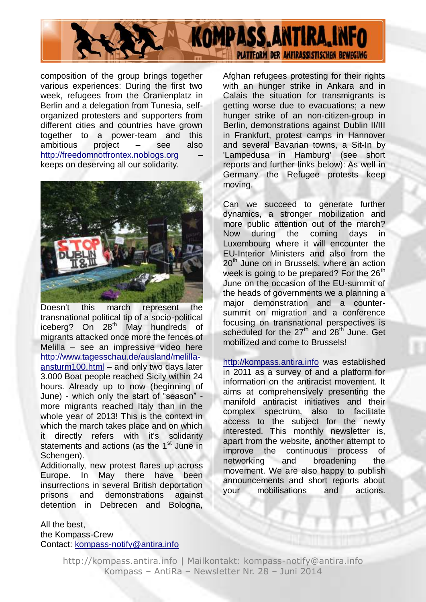

composition of the group brings together various experiences: During the first two week, refugees from the Oranienplatz in Berlin and a delegation from Tunesia, selforganized protesters and supporters from different cities and countries have grown together to a power-team and this ambitious project – see also [http://freedomnotfrontex.noblogs.org](http://freedomnotfrontex.noblogs.org/) – keeps on deserving all our solidarity.



Doesn't this march represent the transnational political tip of a socio-political iceberg? On 28<sup>th</sup> May hundreds of migrants attacked once more the fences of Melilla – see an impressive video here [http://www.tagesschau.de/ausland/melilla](http://www.tagesschau.de/ausland/melilla-ansturm100.html)[ansturm100.html](http://www.tagesschau.de/ausland/melilla-ansturm100.html) – and only two days later 3.000 Boat people reached Sicily within 24 hours. Already up to now (beginning of June) - which only the start of "season" more migrants reached Italy than in the whole year of 2013! This is the context in which the march takes place and on which it directly refers with it's solidarity statements and actions (as the 1<sup>st</sup> June in Schengen).

Additionally, new protest flares up across Europe. In May there have been insurrections in several British deportation prisons and demonstrations against detention in Debrecen and Bologna,

#### All the best, the Kompass-Crew Contact: [kompass-notify@antira.info](mailto:kompass-notify@antira.info)

Afghan refugees protesting for their rights with an hunger strike in Ankara and in

Calais the situation for transmigrants is getting worse due to evacuations; a new hunger strike of an non-citizen-group in Berlin, demonstrations against Dublin II/III in Frankfurt, protest camps in Hannover and several Bavarian towns, a Sit-In by 'Lampedusa in Hamburg' (see short reports and further links below): As well in Germany the Refugee protests keep moving.

Can we succeed to generate further dynamics, a stronger mobilization and more public attention out of the march? Now during the coming days in Luxembourg where it will encounter the EU-Interior Ministers and also from the 20<sup>th</sup> June on in Brussels, where an action week is going to be prepared? For the  $26<sup>th</sup>$ June on the occasion of the EU-summit of the heads of governments we a planning a major demonstration and a countersummit on migration and a conference focusing on transnational perspectives is scheduled for the  $27<sup>th</sup>$  and  $28<sup>th</sup>$  June. Get mobilized and come to Brussels!

[http://kompass.antira.info](http://kompass.antira.info/) was established in 2011 as a survey of and a platform for information on the antiracist movement. It aims at comprehensively presenting the manifold antiracist initiatives and their complex spectrum, also to facilitate access to the subject for the newly interested. This monthly newsletter is, apart from the website, another attempt to improve the continuous process of networking and broadening the movement. We are also happy to publish announcements and short reports about<br>vour mobilisations and actions your mobilisations and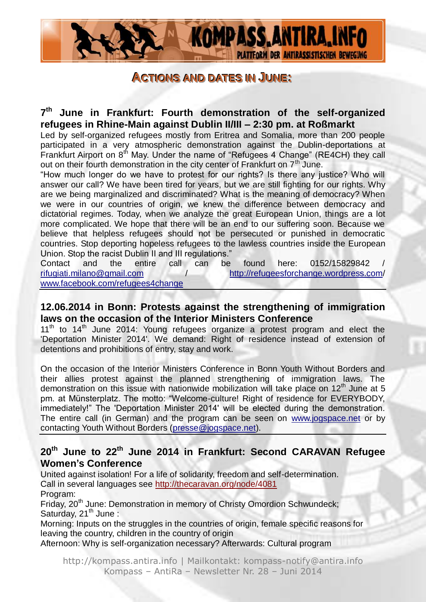

#### **ACCTTIIOONNSS AANNDD DDAATTEESSIINN JUUNNEE::**

**7 th June in Frankfurt: Fourth demonstration of the self-organized refugees in Rhine-Main against Dublin II/III – 2:30 pm. at Roßmarkt**

Led by self-organized refugees mostly from Eritrea and Somalia, more than 200 people participated in a very atmospheric demonstration against the Dublin-deportations at Frankfurt Airport on 8<sup>th</sup> May. Under the name of "Refugees 4 Change" (RE4CH) they call out on their fourth demonstration in the city center of Frankfurt on  $7<sup>th</sup>$  June.

"How much longer do we have to protest for our rights? Is there any justice? Who will answer our call? We have been tired for years, but we are still fighting for our rights. Why are we being marginalized and discriminated? What is the meaning of democracy? When we were in our countries of origin, we knew the difference between democracy and dictatorial regimes. Today, when we analyze the great European Union, things are a lot more complicated. We hope that there will be an end to our suffering soon. Because we believe that helpless refugees should not be persecuted or punished in democratic countries. Stop deporting hopeless refugees to the lawless countries inside the European Union. Stop the racist Dublin II and III regulations."

Contact and the entire call can be found here: 0152/15829842 / [rifugiati.milano@gmail.com](mailto:rifugiati.milano@gmail.com) / <http://refugeesforchange.wordpress.com/> [www.facebook.com/refugees4change](http://www.facebook.com/refugees4change)

#### **12.06.2014 in Bonn: Protests against the strengthening of immigration laws on the occasion of the Interior Ministers Conference**

 $11<sup>th</sup>$  to  $14<sup>th</sup>$  June 2014: Young refugees organize a protest program and elect the 'Deportation Minister 2014'. We demand: Right of residence instead of extension of detentions and prohibitions of entry, stay and work.

On the occasion of the Interior Ministers Conference in Bonn Youth Without Borders and their allies protest against the planned strengthening of immigration laws. The demonstration on this issue with nationwide mobilization will take place on  $12<sup>th</sup>$  June at 5 pm. at Münsterplatz. The motto: "Welcome-culture! Right of residence for EVERYBODY, immediately!" The 'Deportation Minister 2014' will be elected during the demonstration. The entire call (in German) and the program can be seen on [www.jogspace.net](http://www.jogspace.net/) or by contacting Youth Without Borders [\(presse@jogspace.net\)](mailto:presse@jogspace.net).

### **20th June to 22th June 2014 in Frankfurt: Second CARAVAN Refugee Women's Conference**

United against isolation! For a life of solidarity, freedom and self-determination. Call in several languages see<http://thecaravan.org/node/4081> Program:

Friday, 20<sup>th</sup> June: Demonstration in memory of Christy Omordion Schwundeck; Saturday,  $21^{th}$  June :

Morning: Inputs on the struggles in the countries of origin, female specific reasons for leaving the country, children in the country of origin

Afternoon: Why is self-organization necessary? Afterwards: Cultural program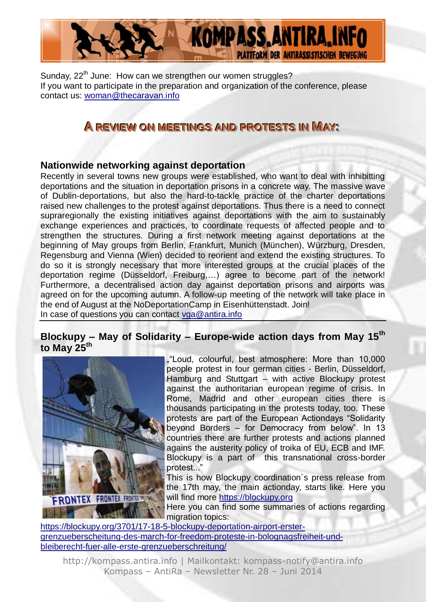

Sunday, 22<sup>th</sup> June: How can we strengthen our women struggles? If you want to participate in the preparation and organization of the conference, please contact us: [woman@thecaravan.info](mailto:woman@thecaravan.info) 

## **ARREEVVIIEEWWOONN MMEEEETTIINNGGSSAANNDD PPRROOTTEESSTTSSIINN MAAYY::**

#### **Nationwide networking against deportation**

Recently in several towns new groups were established, who want to deal with inhibitting deportations and the situation in deportation prisons in a concrete way. The massive wave of Dublin-deportations, but also the hard-to-tackle practice of the charter deportations raised new challenges to the protest against deportations. Thus there is a need to connect supraregionally the existing initiatives against deportations with the aim to sustainably exchange experiences and practices, to coordinate requests of affected people and to strengthen the structures. During a first network meeting against deportations at the beginning of May groups from Berlin, Frankfurt, Munich (München), Würzburg, Dresden, Regensburg and Vienna (Wien) decided to reorient and extend the existing structures. To do so it is strongly necessary that more interested groups at the crucial places of the deportation regime (Düsseldorf, Freiburg,…) agree to become part of the network! Furthermore, a decentralised action day against deportation prisons and airports was agreed on for the upcoming autumn. A follow-up meeting of the network will take place in the end of August at the NoDeportationCamp in Eisenhüttenstadt. Join! In case of questions you can contact [vga@antira.info](mailto:vga@antira.info)

### **Blockupy – May of Solidarity – Europe-wide action days from May 15th to May 25th**



""Loud, colourful, best atmosphere: More than 10,000 people protest in four german cities - Berlin, Düsseldorf, Hamburg and Stuttgart – with active Blockupy protest against the authoritarian european regime of crisis. In Rome, Madrid and other european cities there is thousands participating in the protests today, too. These protests are part of the European Actiondays "Solidarity beyond Borders – for Democracy from below". In 13 countries there are further protests and actions planned agains the austerity policy of troika of EU, ECB and IMF. Blockupy is a part of this transnational cross-border protest..."

This is how Blockupy coordination´s press release from the 17th may, the main actionday, starts like. Here you will find more [https://blockupy.org](https://blockupy.org/)

Here you can find some summaries of actions regarding migration topics:

[https://blockupy.org/3701/17-18-5-blockupy-deportation-airport-erster](https://blockupy.org/3701/17-18-5-blockupy-deportation-airport-erster-grenzueberscheitung-des-march-for-freedom-proteste-in-bolognagsfreiheit-und-bleiberecht-fuer-alle-erste-grenzueberschreitung/)[grenzueberscheitung-des-march-for-freedom-proteste-in-bolognagsfreiheit-und](https://blockupy.org/3701/17-18-5-blockupy-deportation-airport-erster-grenzueberscheitung-des-march-for-freedom-proteste-in-bolognagsfreiheit-und-bleiberecht-fuer-alle-erste-grenzueberschreitung/)[bleiberecht-fuer-alle-erste-grenzueberschreitung/](https://blockupy.org/3701/17-18-5-blockupy-deportation-airport-erster-grenzueberscheitung-des-march-for-freedom-proteste-in-bolognagsfreiheit-und-bleiberecht-fuer-alle-erste-grenzueberschreitung/)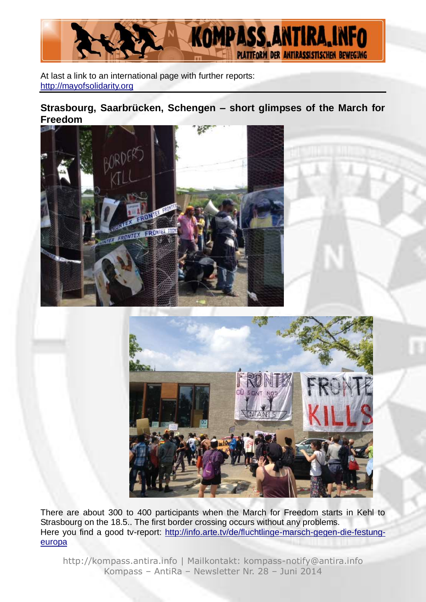

At last a link to an international page with further reports: [http://mayofsolidarity.org](http://mayofsolidarity.org/)

### **Strasbourg, Saarbrücken, Schengen – short glimpses of the March for Freedom**





There are about 300 to 400 participants when the March for Freedom starts in Kehl to Strasbourg on the 18.5.. The first border crossing occurs without any problems. Here you find a good tv-report: [http://info.arte.tv/de/fluchtlinge-marsch-gegen-die-festung](http://info.arte.tv/de/fluchtlinge-marsch-gegen-die-festung-europa)[europa](http://info.arte.tv/de/fluchtlinge-marsch-gegen-die-festung-europa)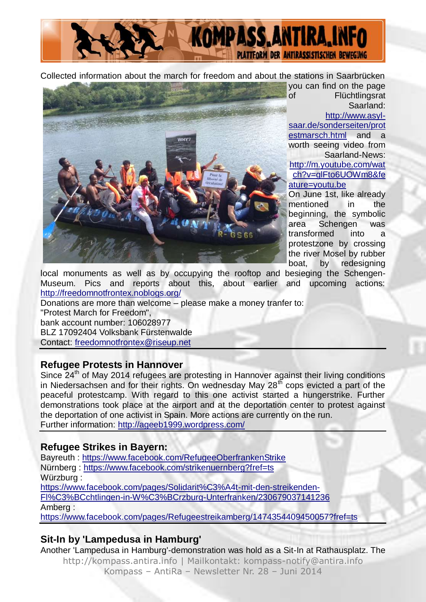

Collected information about the march for freedom and about the stations in Saarbrücken



you can find on the page of Flüchtlingsrat Saarland:

[http://www.asyl-](http://www.asyl-saar.de/sonderseiten/protestmarsch.html)

[saar.de/sonderseiten/prot](http://www.asyl-saar.de/sonderseiten/protestmarsch.html) [estmarsch.html](http://www.asyl-saar.de/sonderseiten/protestmarsch.html) and a worth seeing video from Saarland-News: [http://m.youtube.com/wat](http://m.youtube.com/watch?v=glFto6UOWm8&feature=youtu.be) [ch?v=glFto6UOWm8&fe](http://m.youtube.com/watch?v=glFto6UOWm8&feature=youtu.be) [ature=youtu.be](http://m.youtube.com/watch?v=glFto6UOWm8&feature=youtu.be)

On June 1st, like already mentioned in the beginning, the symbolic area Schengen was transformed into a protestzone by crossing the river Mosel by rubber boat, by redesigning

local monuments as well as by occupying the rooftop and besieging the Schengen-Museum. Pics and reports about this, about earlier and upcoming actions: <http://freedomnotfrontex.noblogs.org/>

Donations are more than welcome – please make a money tranfer to: "Protest March for Freedom", bank account number: 106028977 BLZ 17092404 Volksbank Fürstenwalde Contact: [freedomnotfrontex@riseup.net](mailto:freedomnotfrontex@riseup.net)

#### **Refugee Protests in Hannover**

Since 24<sup>th</sup> of May 2014 refugees are protesting in Hannover against their living conditions in Niedersachsen and for their rights. On wednesday May  $28<sup>th</sup>$  cops evicted a part of the peaceful protestcamp. With regard to this one activist started a hungerstrike. Further demonstrations took place at the airport and at the deportation center to protest against the deportation of one activist in Spain. More actions are currently on the run. Further information:<http://ageeb1999.wordpress.com/>

### **Refugee Strikes in Bayern:**

Bayreuth :<https://www.facebook.com/RefugeeOberfrankenStrike> Nürnberg :<https://www.facebook.com/strikenuernberg?fref=ts> Würzburg : [https://www.facebook.com/pages/Solidarit%C3%A4t-mit-den-streikenden-](https://www.facebook.com/pages/Solidarität-mit-den-streikenden-Flüchtlingen-in-Würzburg-Unterfranken/230679037141236)[Fl%C3%BCchtlingen-in-W%C3%BCrzburg-Unterfranken/230679037141236](https://www.facebook.com/pages/Solidarität-mit-den-streikenden-Flüchtlingen-in-Würzburg-Unterfranken/230679037141236) Amberg :

<https://www.facebook.com/pages/Refugeestreikamberg/1474354409450057?fref=ts>

### **Sit-In by 'Lampedusa in Hamburg'**

http://kompass.antira.info | Mailkontakt: kompass-notify@antira.info Another 'Lampedusa in Hamburg'-demonstration was hold as a Sit-In at Rathausplatz. The

Kompass – AntiRa – Newsletter Nr. 28 – Juni 2014